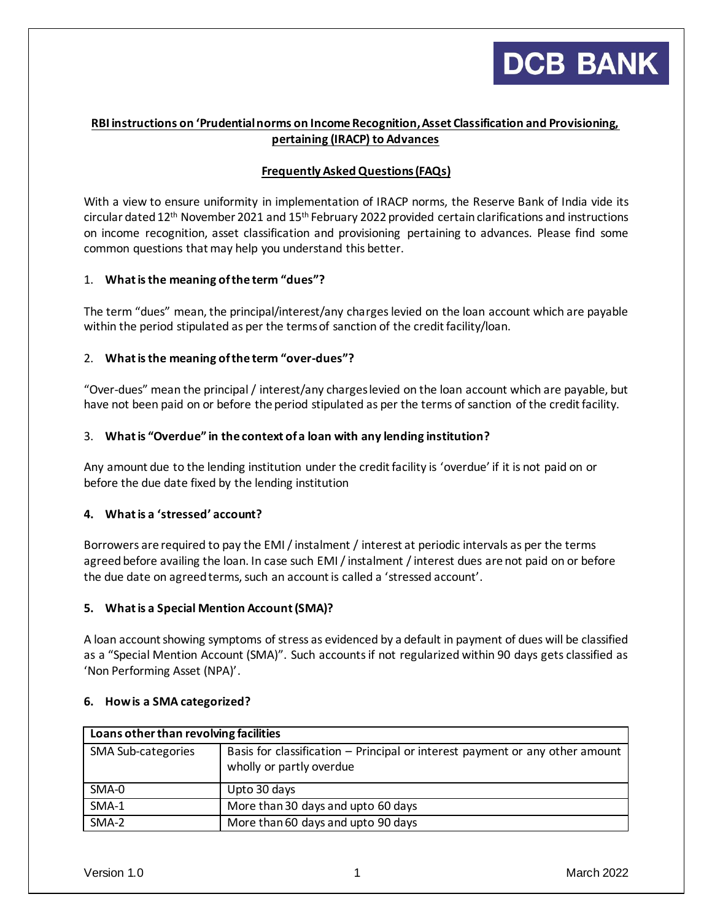

# **RBI instructions on 'Prudential norms on Income Recognition, Asset Classification and Provisioning, pertaining (IRACP) to Advances**

## **Frequently Asked Questions (FAQs)**

With a view to ensure uniformity in implementation of IRACP norms, the Reserve Bank of India vide its circular dated 12<sup>th</sup> November 2021 and 15<sup>th</sup> February 2022 provided certain clarifications and instructions on income recognition, asset classification and provisioning pertaining to advances. Please find some common questions that may help you understand this better.

### 1. **What is the meaning of the term "dues"?**

The term "dues" mean, the principal/interest/any charges levied on the loan account which are payable within the period stipulated as per the terms of sanction of the credit facility/loan.

### 2. **What is the meaning of the term "over-dues"?**

"Over-dues" mean the principal / interest/any charges levied on the loan account which are payable, but have not been paid on or before the period stipulated as per the terms of sanction of the credit facility.

### 3. **What is "Overdue" in the context of a loan with any lending institution?**

Any amount due to the lending institution under the credit facility is 'overdue' if it is not paid on or before the due date fixed by the lending institution

### **4. What is a 'stressed' account?**

Borrowers are required to pay the EMI / instalment / interest at periodic intervals as per the terms agreed before availing the loan. In case such EMI / instalment / interest dues are not paid on or before the due date on agreed terms, such an account is called a 'stressed account'.

### **5. What is a Special Mention Account (SMA)?**

A loan account showing symptoms of stress as evidenced by a default in payment of dues will be classified as a "Special Mention Account (SMA)". Such accounts if not regularized within 90 days gets classified as 'Non Performing Asset (NPA)'.

| Loans other than revolving facilities |                                                                                                          |
|---------------------------------------|----------------------------------------------------------------------------------------------------------|
| SMA Sub-categories                    | Basis for classification – Principal or interest payment or any other amount<br>wholly or partly overdue |
| SMA-0                                 | Upto 30 days                                                                                             |
| SMA-1                                 | More than 30 days and upto 60 days                                                                       |
| SMA-2                                 | More than 60 days and upto 90 days                                                                       |

#### **6. How is a SMA categorized?**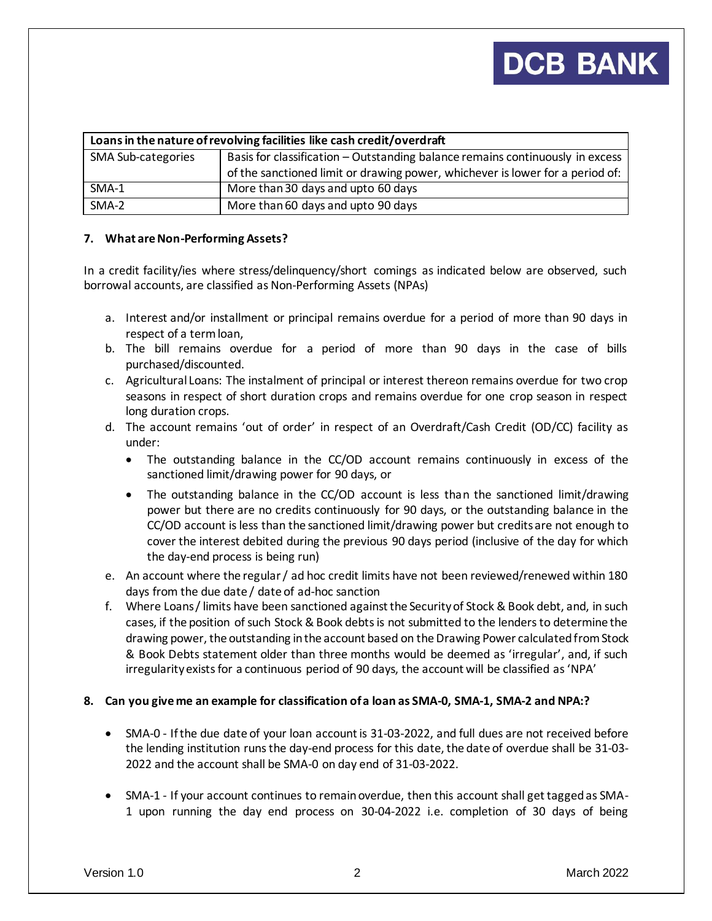# **DCB BANK**

| Loans in the nature of revolving facilities like cash credit/overdraft |                                                                               |
|------------------------------------------------------------------------|-------------------------------------------------------------------------------|
| <b>SMA Sub-categories</b>                                              | Basis for classification - Outstanding balance remains continuously in excess |
|                                                                        | of the sanctioned limit or drawing power, whichever is lower for a period of: |
| SMA-1                                                                  | More than 30 days and upto 60 days                                            |
| SMA-2                                                                  | More than 60 days and upto 90 days                                            |

### **7. What are Non-Performing Assets?**

In a credit facility/ies where stress/delinquency/short comings as indicated below are observed, such borrowal accounts, are classified as Non-Performing Assets (NPAs)

- a. Interest and/or installment or principal remains overdue for a period of more than 90 days in respect of a term loan,
- b. The bill remains overdue for a period of more than 90 days in the case of bills purchased/discounted.
- c. Agricultural Loans: The instalment of principal or interest thereon remains overdue for two crop seasons in respect of short duration crops and remains overdue for one crop season in respect long duration crops.
- d. The account remains 'out of order' in respect of an Overdraft/Cash Credit (OD/CC) facility as under:
	- The outstanding balance in the CC/OD account remains continuously in excess of the sanctioned limit/drawing power for 90 days, or
	- The outstanding balance in the CC/OD account is less than the sanctioned limit/drawing power but there are no credits continuously for 90 days, or the outstanding balance in the CC/OD account is less than the sanctioned limit/drawing power but credits are not enough to cover the interest debited during the previous 90 days period (inclusive of the day for which the day-end process is being run)
- e. An account where the regular / ad hoc credit limits have not been reviewed/renewed within 180 days from the due date / date of ad-hoc sanction
- f. Where Loans / limits have been sanctioned against the Security of Stock & Book debt, and, in such cases, if the position of such Stock & Book debts is not submitted to the lenders to determine the drawing power, the outstanding in the account based on the Drawing Power calculated from Stock & Book Debts statement older than three months would be deemed as 'irregular', and, if such irregularity exists for a continuous period of 90 days, the account will be classified as 'NPA'

### **8. Can you give me an example for classification of a loan as SMA-0, SMA-1, SMA-2 and NPA:?**

- SMA-0 If the due date of your loan account is 31-03-2022, and full dues are not received before the lending institution runs the day-end process for this date, the date of overdue shall be 31-03- 2022 and the account shall be SMA-0 on day end of 31-03-2022.
- SMA-1 If your account continues to remain overdue, then this account shall get tagged as SMA-1 upon running the day end process on 30-04-2022 i.e. completion of 30 days of being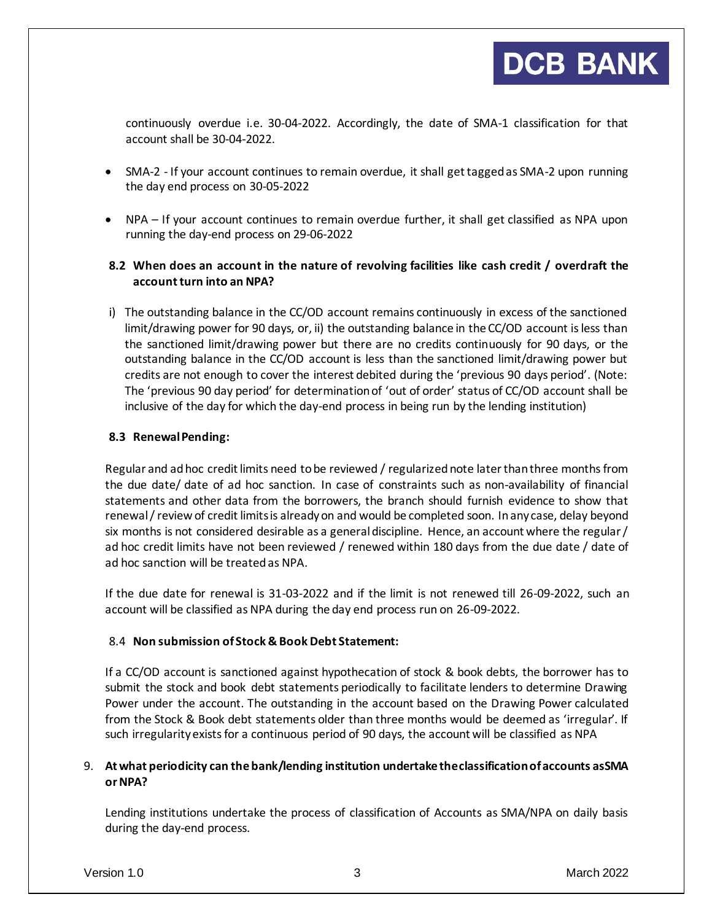continuously overdue i.e. 30-04-2022. Accordingly, the date of SMA-1 classification for that account shall be 30-04-2022.

- SMA-2 If your account continues to remain overdue, it shall get tagged as SMA-2 upon running the day end process on 30-05-2022
- NPA If your account continues to remain overdue further, it shall get classified as NPA upon running the day-end process on 29-06-2022

# **8.2 When does an account in the nature of revolving facilities like cash credit / overdraft the account turn into an NPA?**

i) The outstanding balance in the CC/OD account remains continuously in excess of the sanctioned limit/drawing power for 90 days, or, ii) the outstanding balance in the CC/OD account is less than the sanctioned limit/drawing power but there are no credits continuously for 90 days, or the outstanding balance in the CC/OD account is less than the sanctioned limit/drawing power but credits are not enough to cover the interest debited during the 'previous 90 days period'. (Note: The 'previous 90 day period' for determination of 'out of order' status of CC/OD account shall be inclusive of the day for which the day-end process in being run by the lending institution)

## **8.3 Renewal Pending:**

Regular and ad hoc credit limits need to be reviewed / regularized note later than three months from the due date/ date of ad hoc sanction. In case of constraints such as non-availability of financial statements and other data from the borrowers, the branch should furnish evidence to show that renewal / review of credit limits is already on and would be completed soon. In any case, delay beyond six months is not considered desirable as a general discipline. Hence, an account where the regular / ad hoc credit limits have not been reviewed / renewed within 180 days from the due date / date of ad hoc sanction will be treated as NPA.

If the due date for renewal is 31-03-2022 and if the limit is not renewed till 26-09-2022, such an account will be classified as NPA during the day end process run on 26-09-2022.

### 8.4 **Non submission of Stock & Book Debt Statement:**

If a CC/OD account is sanctioned against hypothecation of stock & book debts, the borrower has to submit the stock and book debt statements periodically to facilitate lenders to determine Drawing Power under the account. The outstanding in the account based on the Drawing Power calculated from the Stock & Book debt statements older than three months would be deemed as 'irregular'. If such irregularity exists for a continuous period of 90 days, the account will be classified as NPA

### 9. **At what periodicity can the bank/lending institution undertake the classification of accounts as SMA or NPA?**

Lending institutions undertake the process of classification of Accounts as SMA/NPA on daily basis during the day-end process.